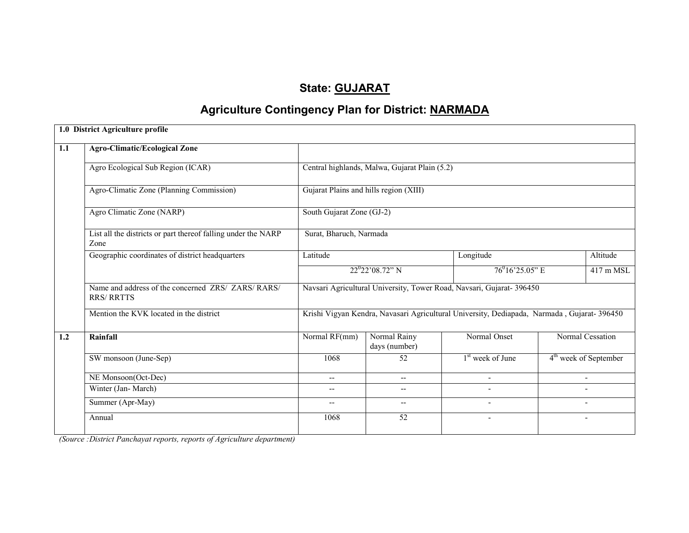# State: GUJARAT

# Agriculture Contingency Plan for District: NARMADA

|     | 1.0 District Agriculture profile                                        |                                                                                            |                                                                       |                              |  |                                   |  |  |  |
|-----|-------------------------------------------------------------------------|--------------------------------------------------------------------------------------------|-----------------------------------------------------------------------|------------------------------|--|-----------------------------------|--|--|--|
| 1.1 | <b>Agro-Climatic/Ecological Zone</b>                                    |                                                                                            |                                                                       |                              |  |                                   |  |  |  |
|     | Agro Ecological Sub Region (ICAR)                                       | Central highlands, Malwa, Gujarat Plain (5.2)                                              |                                                                       |                              |  |                                   |  |  |  |
|     | Agro-Climatic Zone (Planning Commission)                                | Gujarat Plains and hills region (XIII)                                                     |                                                                       |                              |  |                                   |  |  |  |
|     | Agro Climatic Zone (NARP)                                               | South Gujarat Zone (GJ-2)                                                                  |                                                                       |                              |  |                                   |  |  |  |
|     | List all the districts or part thereof falling under the NARP<br>Zone   | Surat, Bharuch, Narmada                                                                    |                                                                       |                              |  |                                   |  |  |  |
|     | Geographic coordinates of district headquarters                         | Latitude                                                                                   |                                                                       | Longitude                    |  | Altitude                          |  |  |  |
|     |                                                                         |                                                                                            | $22^{0}22'08.72"$ N<br>$76^{0}16'25.05"$ E                            |                              |  |                                   |  |  |  |
|     | Name and address of the concerned ZRS/ ZARS/ RARS/<br><b>RRS/ RRTTS</b> |                                                                                            | Navsari Agricultural University, Tower Road, Navsari, Gujarat- 396450 |                              |  |                                   |  |  |  |
|     | Mention the KVK located in the district                                 | Krishi Vigyan Kendra, Navasari Agricultural University, Dediapada, Narmada, Gujarat-396450 |                                                                       |                              |  |                                   |  |  |  |
| 1.2 | Rainfall                                                                | Normal RF(mm)                                                                              | Normal Rainy<br>days (number)                                         | Normal Onset                 |  | Normal Cessation                  |  |  |  |
|     | SW monsoon (June-Sep)                                                   | 1068                                                                                       | 52                                                                    | 1 <sup>st</sup> week of June |  | 4 <sup>th</sup> week of September |  |  |  |
|     | NE Monsoon(Oct-Dec)                                                     | $- -$                                                                                      | $-$                                                                   |                              |  | $\overline{\phantom{a}}$          |  |  |  |
|     | Winter (Jan-March)                                                      |                                                                                            | $\overline{\phantom{a}}$                                              |                              |  |                                   |  |  |  |
|     | Summer (Apr-May)                                                        | $\qquad \qquad -$                                                                          | $\overline{\phantom{a}}$                                              |                              |  |                                   |  |  |  |
|     | Annual                                                                  | 1068                                                                                       | 52                                                                    | ٠                            |  | $\overline{\phantom{0}}$          |  |  |  |
|     |                                                                         |                                                                                            |                                                                       |                              |  |                                   |  |  |  |

(Source :District Panchayat reports, reports of Agriculture department)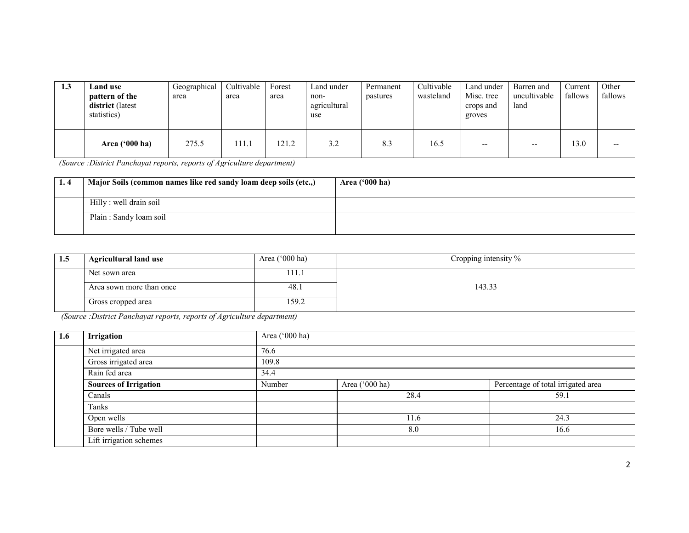| 1.3 | <b>Land</b> use<br>pattern of the<br>district (latest<br>statistics) | Geographical<br>area | Cultivable<br>area | Forest<br>area | Land under<br>non-<br>agricultural<br>use | Permanent<br>pastures | Cultivable<br>wasteland | Land under<br>Misc. tree<br>crops and<br>groves | Barren and<br>uncultivable<br>land | Current<br>fallows | Other<br>fallows |
|-----|----------------------------------------------------------------------|----------------------|--------------------|----------------|-------------------------------------------|-----------------------|-------------------------|-------------------------------------------------|------------------------------------|--------------------|------------------|
|     | Area ('000 ha)                                                       | 275.5                | 111.1              | 121.2          | 3.2                                       | 8.3                   | 16.5                    | $- -$                                           | $- -$                              | 3.0                | $- -$            |

(Source :District Panchayat reports, reports of Agriculture department)

| Major Soils (common names like red sandy loam deep soils (etc.,) | Area $('000 ha)$ |
|------------------------------------------------------------------|------------------|
| Hilly : well drain soil                                          |                  |
| Plain: Sandy loam soil                                           |                  |

| 1.5 | <b>Agricultural land use</b> | Area $('000 ha)$ | Cropping intensity % |
|-----|------------------------------|------------------|----------------------|
|     | Net sown area                | 111.1            |                      |
|     | Area sown more than once     | 48.1             | 143.33               |
|     | Gross cropped area           | 159.2            |                      |

(Source :District Panchayat reports, reports of Agriculture department)

| 1.6 | Irrigation                   | Area ('000 ha) |                |                                    |  |  |  |  |
|-----|------------------------------|----------------|----------------|------------------------------------|--|--|--|--|
|     | Net irrigated area           | 76.6           |                |                                    |  |  |  |  |
|     | Gross irrigated area         | 109.8          |                |                                    |  |  |  |  |
|     | Rain fed area                | 34.4           |                |                                    |  |  |  |  |
|     | <b>Sources of Irrigation</b> | Number         | Area ('000 ha) | Percentage of total irrigated area |  |  |  |  |
|     | Canals                       |                | 28.4           | 59.1                               |  |  |  |  |
|     | Tanks                        |                |                |                                    |  |  |  |  |
|     | Open wells                   |                | 11.6           | 24.3                               |  |  |  |  |
|     | Bore wells / Tube well       |                | 8.0            | 16.6                               |  |  |  |  |
|     | Lift irrigation schemes      |                |                |                                    |  |  |  |  |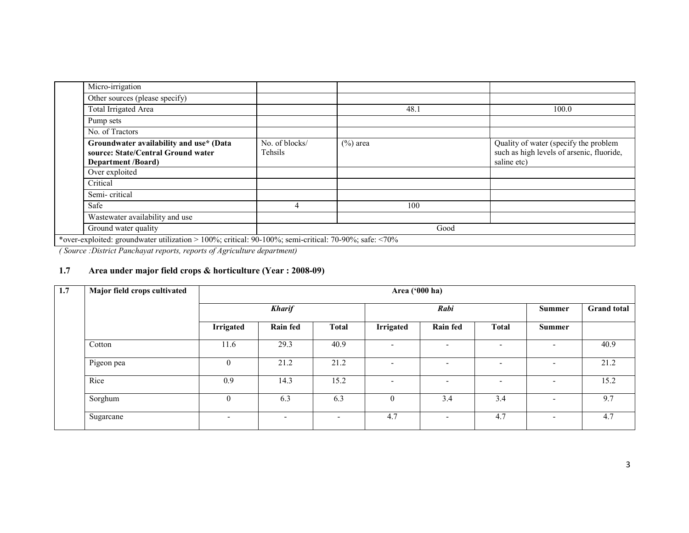| Micro-irrigation                                                                                           |                           |             |                                                                                                   |
|------------------------------------------------------------------------------------------------------------|---------------------------|-------------|---------------------------------------------------------------------------------------------------|
| Other sources (please specify)                                                                             |                           |             |                                                                                                   |
| Total Irrigated Area                                                                                       |                           | 48.1        | 100.0                                                                                             |
| Pump sets                                                                                                  |                           |             |                                                                                                   |
| No. of Tractors                                                                                            |                           |             |                                                                                                   |
| Groundwater availability and use* (Data<br>source: State/Central Ground water<br><b>Department</b> /Board) | No. of blocks/<br>Tehsils | $(\%)$ area | Quality of water (specify the problem<br>such as high levels of arsenic, fluoride,<br>saline etc) |
| Over exploited                                                                                             |                           |             |                                                                                                   |
| Critical                                                                                                   |                           |             |                                                                                                   |
| Semi-critical                                                                                              |                           |             |                                                                                                   |
| Safe                                                                                                       |                           | 100         |                                                                                                   |
| Wastewater availability and use                                                                            |                           |             |                                                                                                   |
| Ground water quality                                                                                       |                           | Good        |                                                                                                   |
| *over-exploited: groundwater utilization > 100%; critical: 90-100%; semi-critical: 70-90%; safe: <70%      |                           |             |                                                                                                   |
| $   -$                                                                                                     |                           |             |                                                                                                   |

( Source :District Panchayat reports, reports of Agriculture department)

#### 1.7 Area under major field crops & horticulture (Year : 2008-09)

| 1.7 | Major field crops cultivated | Area ('000 ha)               |                          |                          |                          |                          |                          |                          |      |
|-----|------------------------------|------------------------------|--------------------------|--------------------------|--------------------------|--------------------------|--------------------------|--------------------------|------|
|     |                              |                              | <b>Kharif</b>            |                          |                          | Rabi                     | <b>Summer</b>            | <b>Grand</b> total       |      |
|     |                              | <b>Irrigated</b>             | <b>Rain fed</b>          | <b>Total</b>             | <b>Irrigated</b>         | Rain fed                 | <b>Total</b>             | <b>Summer</b>            |      |
|     | Cotton                       | 11.6                         | 29.3                     | 40.9                     | $\overline{\phantom{0}}$ | $\overline{\phantom{a}}$ |                          | -                        | 40.9 |
|     | Pigeon pea                   | $\overline{0}$               | 21.2                     | 21.2                     | $\overline{\phantom{0}}$ | $\overline{\phantom{0}}$ |                          | ۰                        | 21.2 |
|     | Rice                         | 0.9                          | 14.3                     | 15.2                     | $\overline{\phantom{0}}$ | $\overline{\phantom{0}}$ | $\overline{\phantom{a}}$ | $\overline{\phantom{0}}$ | 15.2 |
|     | Sorghum                      | $\mathbf{0}$                 | 6.3                      | 6.3                      | $\boldsymbol{0}$         | 3.4                      | 3.4                      | $\overline{\phantom{0}}$ | 9.7  |
|     | Sugarcane                    | $\qquad \qquad \blacksquare$ | $\overline{\phantom{a}}$ | $\overline{\phantom{0}}$ | 4.7                      | $\overline{\phantom{0}}$ | 4.7                      | $\overline{\phantom{0}}$ | 4.7  |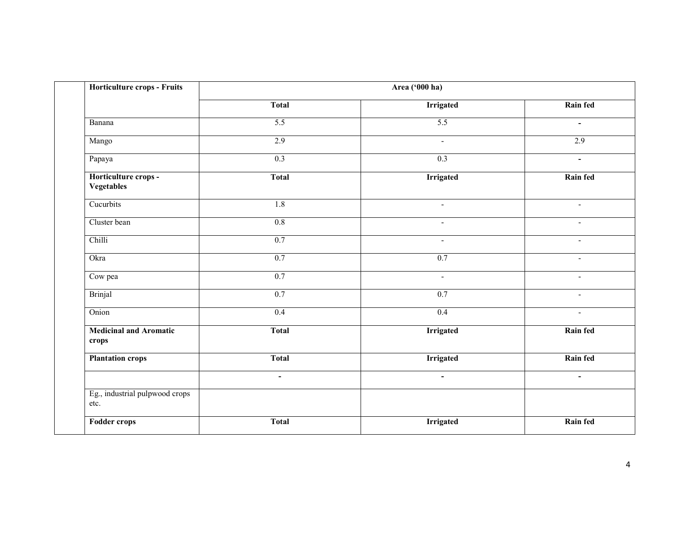| Horticulture crops - Fruits               |                | Area ('000 ha)   |                          |  |
|-------------------------------------------|----------------|------------------|--------------------------|--|
|                                           | <b>Total</b>   | <b>Irrigated</b> | Rain fed                 |  |
| Banana                                    | 5.5            | 5.5              | $\mathbf{u}$             |  |
| Mango                                     | 2.9            | $\sim$           | 2.9                      |  |
| Papaya                                    | 0.3            | $\overline{0.3}$ | $\sim$                   |  |
| Horticulture crops -<br><b>Vegetables</b> | <b>Total</b>   | <b>Irrigated</b> | <b>Rain fed</b>          |  |
| Cucurbits                                 | 1.8            | $\sim$           | $\blacksquare$           |  |
| Cluster bean                              | 0.8            | $\sim$           | $\sim$                   |  |
| Chilli                                    | 0.7            | $\blacksquare$   | $\overline{\phantom{a}}$ |  |
| Okra                                      | 0.7            | 0.7              | $\blacksquare$           |  |
| Cow pea                                   | 0.7            | $\Delta \phi$    | $\mathbf{r}$             |  |
| <b>Brinjal</b>                            | 0.7            | 0.7              | $\blacksquare$           |  |
| Onion                                     | 0.4            | 0.4              | $\sim$                   |  |
| <b>Medicinal and Aromatic</b><br>crops    | <b>Total</b>   | <b>Irrigated</b> | <b>Rain fed</b>          |  |
| <b>Plantation crops</b>                   | <b>Total</b>   | <b>Irrigated</b> | Rain fed                 |  |
|                                           | $\blacksquare$ | $\blacksquare$   | $\blacksquare$           |  |
| Eg., industrial pulpwood crops<br>etc.    |                |                  |                          |  |
| <b>Fodder crops</b>                       | <b>Total</b>   | <b>Irrigated</b> | Rain fed                 |  |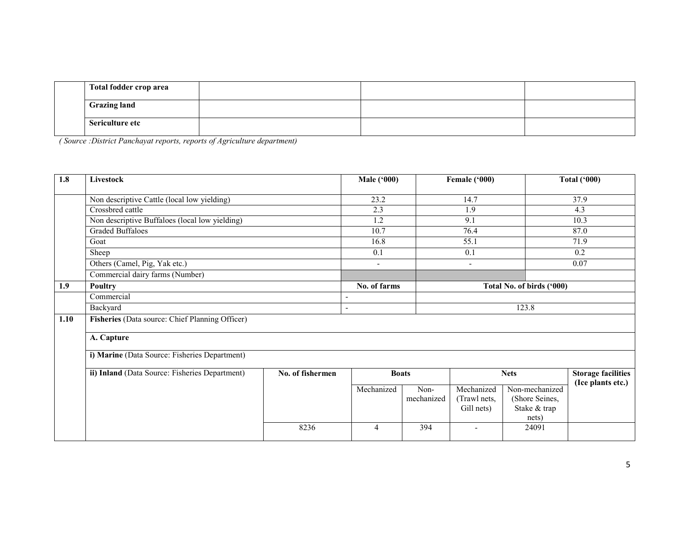| Total fodder crop area |  |
|------------------------|--|
| <b>Grazing land</b>    |  |
| Sericulture etc        |  |

( Source :District Panchayat reports, reports of Agriculture department)

| 1.8  | Livestock                                       |                  | <b>Male ('000)</b> |                    | Female ('000)                            |                                                           | <b>Total ('000)</b>                            |
|------|-------------------------------------------------|------------------|--------------------|--------------------|------------------------------------------|-----------------------------------------------------------|------------------------------------------------|
|      | Non descriptive Cattle (local low yielding)     |                  | 23.2               |                    | 14.7                                     |                                                           | 37.9                                           |
|      | Crossbred cattle                                |                  | 2.3                |                    | 1.9                                      |                                                           | 4.3                                            |
|      | Non descriptive Buffaloes (local low yielding)  |                  | $\overline{1.2}$   |                    | 9.1                                      |                                                           | 10.3                                           |
|      | <b>Graded Buffaloes</b>                         |                  | 10.7               |                    | 76.4                                     |                                                           | 87.0                                           |
|      | Goat                                            |                  | 16.8               |                    | 55.1                                     |                                                           | 71.9                                           |
|      | Sheep                                           |                  | 0.1                |                    | 0.1                                      |                                                           | 0.2                                            |
|      | Others (Camel, Pig, Yak etc.)                   |                  | $\sim$             |                    | $\blacksquare$                           |                                                           | 0.07                                           |
|      | Commercial dairy farms (Number)                 |                  |                    |                    |                                          |                                                           |                                                |
| 1.9  | <b>Poultry</b>                                  |                  | No. of farms       |                    | Total No. of birds ('000)                |                                                           |                                                |
|      | Commercial                                      |                  |                    |                    |                                          |                                                           |                                                |
|      | Backyard                                        | $\overline{a}$   |                    |                    |                                          | 123.8                                                     |                                                |
| 1.10 | Fisheries (Data source: Chief Planning Officer) |                  |                    |                    |                                          |                                                           |                                                |
|      | A. Capture                                      |                  |                    |                    |                                          |                                                           |                                                |
|      | i) Marine (Data Source: Fisheries Department)   |                  |                    |                    |                                          |                                                           |                                                |
|      | ii) Inland (Data Source: Fisheries Department)  | No. of fishermen | <b>Boats</b>       |                    |                                          | <b>Nets</b>                                               | <b>Storage facilities</b><br>(Ice plants etc.) |
|      |                                                 |                  | Mechanized         | Non-<br>mechanized | Mechanized<br>(Trawl nets,<br>Gill nets) | Non-mechanized<br>(Shore Seines,<br>Stake & trap<br>nets) |                                                |
|      |                                                 | 8236             | 4                  | 394                | ۰                                        | 24091                                                     |                                                |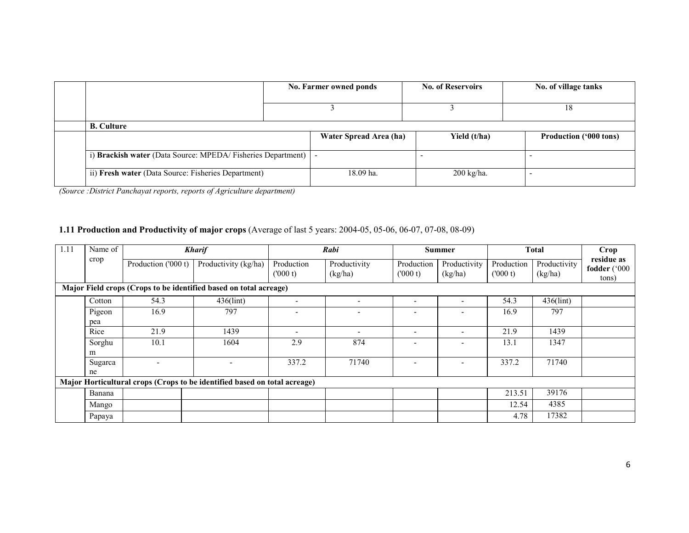|                                                                 | No. Farmer owned ponds |                        | <b>No. of Reservoirs</b> |  | No. of village tanks          |
|-----------------------------------------------------------------|------------------------|------------------------|--------------------------|--|-------------------------------|
|                                                                 |                        |                        |                          |  | 18                            |
| <b>B.</b> Culture                                               |                        |                        |                          |  |                               |
|                                                                 |                        | Water Spread Area (ha) | Yield (t/ha)             |  | <b>Production ('000 tons)</b> |
|                                                                 |                        |                        |                          |  |                               |
| i) Brackish water (Data Source: MPEDA/Fisheries Department)   - |                        |                        |                          |  |                               |
| ii) Fresh water (Data Source: Fisheries Department)             |                        | 18.09 ha.              | $200$ kg/ha.             |  |                               |

(Source :District Panchayat reports, reports of Agriculture department)

#### 1.11 Production and Productivity of major crops (Average of last 5 years: 2004-05, 05-06, 06-07, 07-08, 08-09)

| 1.11 | Name of                                                           |                     | <b>Kharif</b>                                                             |                       | Rabi                     |                          | <b>Summer</b>            |                       | <b>Total</b>            | <b>Crop</b>                         |
|------|-------------------------------------------------------------------|---------------------|---------------------------------------------------------------------------|-----------------------|--------------------------|--------------------------|--------------------------|-----------------------|-------------------------|-------------------------------------|
|      | crop                                                              | Production ('000 t) | Productivity (kg/ha)                                                      | Production<br>(000 t) | Productivity<br>(kg/ha)  | Production<br>(000 t)    | Productivity<br>(kg/ha)  | Production<br>(000 t) | Productivity<br>(kg/ha) | residue as<br>fodder ('000<br>tons) |
|      | Major Field crops (Crops to be identified based on total acreage) |                     |                                                                           |                       |                          |                          |                          |                       |                         |                                     |
|      | Cotton                                                            | 54.3                | 436(lint)                                                                 |                       |                          | $\overline{\phantom{a}}$ | $\overline{\phantom{0}}$ | 54.3                  | $436$ (lint)            |                                     |
|      | Pigeon<br>pea                                                     | 16.9                | 797                                                                       | ۰                     | ۰                        | $\overline{\phantom{0}}$ | $\overline{\phantom{0}}$ | 16.9                  | 797                     |                                     |
|      | Rice                                                              | 21.9                | 1439                                                                      | ٠                     | $\overline{\phantom{0}}$ | $\overline{\phantom{a}}$ | $\overline{a}$           | 21.9                  | 1439                    |                                     |
|      | Sorghu<br>m                                                       | 10.1                | 1604                                                                      | 2.9                   | 874                      | $\overline{\phantom{0}}$ | $\overline{\phantom{0}}$ | 13.1                  | 1347                    |                                     |
|      | Sugarca<br>ne                                                     |                     |                                                                           | 337.2                 | 71740                    | $\overline{\phantom{a}}$ | $\overline{\phantom{a}}$ | 337.2                 | 71740                   |                                     |
|      |                                                                   |                     | Major Horticultural crops (Crops to be identified based on total acreage) |                       |                          |                          |                          |                       |                         |                                     |
|      | Banana                                                            |                     |                                                                           |                       |                          |                          |                          | 213.51                | 39176                   |                                     |
|      | Mango                                                             |                     |                                                                           |                       |                          |                          |                          | 12.54                 | 4385                    |                                     |
|      | Papaya                                                            |                     |                                                                           |                       |                          |                          |                          | 4.78                  | 17382                   |                                     |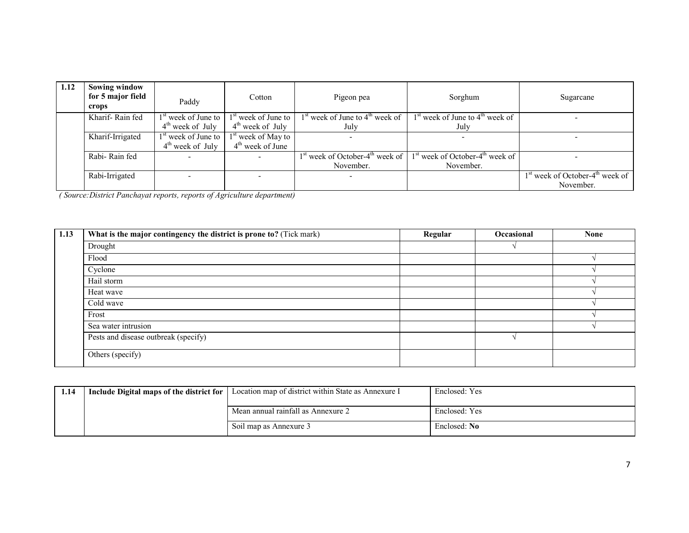| 1.12 | <b>Sowing window</b><br>for 5 major field<br>crops | Paddy                             | Cotton                          | Pigeon pea                                                | Sorghum                                       | Sugarcane                                     |
|------|----------------------------------------------------|-----------------------------------|---------------------------------|-----------------------------------------------------------|-----------------------------------------------|-----------------------------------------------|
|      | Kharif-Rain fed                                    | $1st$ week of June to $\parallel$ | 1 <sup>st</sup> week of June to | $1st$ week of June to $4th$ week of                       | $1st$ week of June to $4th$ week of           |                                               |
|      |                                                    | $4th$ week of July                | $4^{\text{th}}$ week of July    | July                                                      | July                                          |                                               |
|      | Kharif-Irrigated                                   | $1st$ week of June to $\parallel$ | 1 <sup>st</sup> week of May to  |                                                           |                                               |                                               |
|      |                                                    | $4th$ week of July                | $4th$ week of June              |                                                           |                                               |                                               |
|      | Rabi-Rain fed                                      |                                   |                                 | 1 <sup>st</sup> week of October-4 <sup>th</sup> week of 1 | $1st$ week of October-4 <sup>th</sup> week of |                                               |
|      |                                                    |                                   |                                 | November.                                                 | November.                                     |                                               |
|      | Rabi-Irrigated                                     |                                   |                                 |                                                           |                                               | $1st$ week of October-4 <sup>th</sup> week of |
|      |                                                    |                                   |                                 |                                                           |                                               | November.                                     |

( Source:District Panchayat reports, reports of Agriculture department)

| 1.13 | What is the major contingency the district is prone to? (Tick mark) | Regular | Occasional | <b>None</b> |
|------|---------------------------------------------------------------------|---------|------------|-------------|
|      | Drought                                                             |         |            |             |
|      | Flood                                                               |         |            |             |
|      | Cyclone                                                             |         |            |             |
|      | Hail storm                                                          |         |            |             |
|      | Heat wave                                                           |         |            |             |
|      | Cold wave                                                           |         |            |             |
|      | Frost                                                               |         |            |             |
|      | Sea water intrusion                                                 |         |            |             |
|      | Pests and disease outbreak (specify)                                |         |            |             |
|      | Others (specify)                                                    |         |            |             |

| 1.14 | I Include Digital maps of the district for   Location map of district within State as Annexure I | Enclosed: Yes |
|------|--------------------------------------------------------------------------------------------------|---------------|
|      | Mean annual rainfall as Annexure 2                                                               | Enclosed: Yes |
|      | Soil map as Annexure 3                                                                           | Enclosed: No. |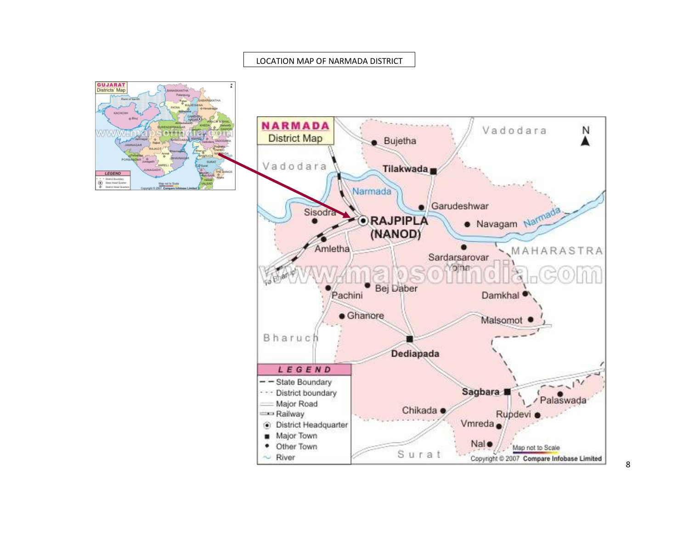#### LOCATION MAP OF NARMADA DISTRICT



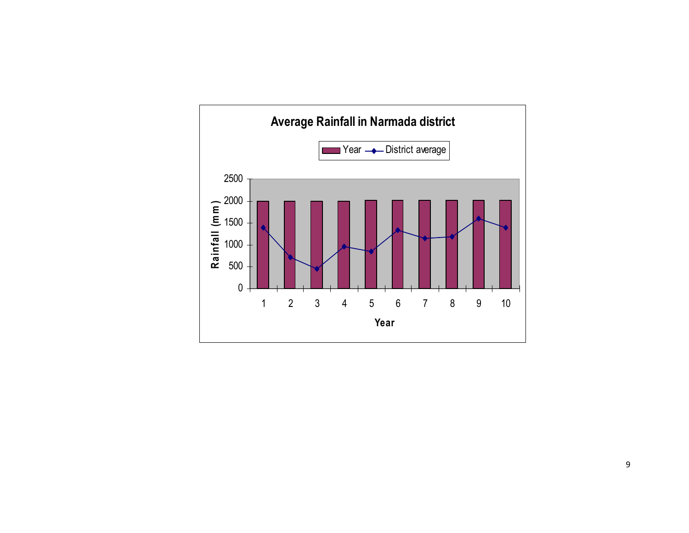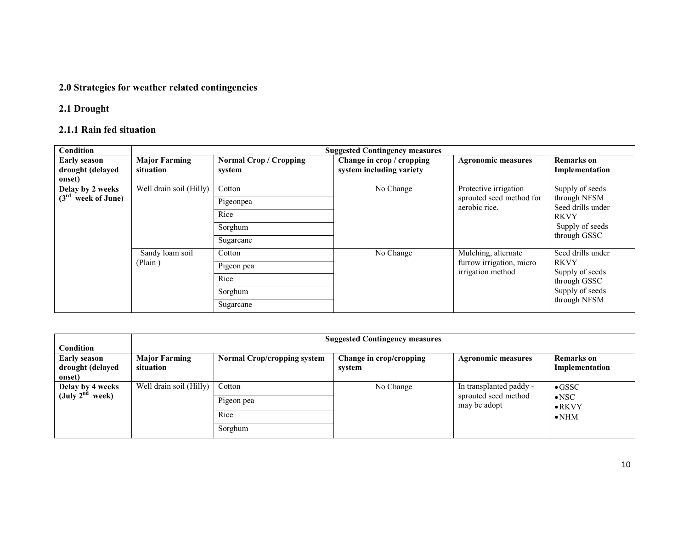## 2.0 Strategies for weather related contingencies

## 2.1 Drought

#### 2.1.1 Rain fed situation

| Condition                                         |                                   |                                         | <b>Suggested Contingency measures</b>                 |                                                   |                                     |                   |
|---------------------------------------------------|-----------------------------------|-----------------------------------------|-------------------------------------------------------|---------------------------------------------------|-------------------------------------|-------------------|
| <b>Early season</b><br>drought (delayed<br>onset) | <b>Major Farming</b><br>situation | <b>Normal Crop / Cropping</b><br>system | Change in crop / cropping<br>system including variety | <b>Agronomic measures</b>                         | <b>Remarks</b> on<br>Implementation |                   |
| Delay by 2 weeks<br>$(3^{rd})$<br>week of June)   | Well drain soil (Hilly)           | Cotton                                  | No Change                                             | Protective irrigation<br>sprouted seed method for | Supply of seeds<br>through NFSM     |                   |
|                                                   |                                   | Pigeonpea<br>Rice                       |                                                       | aerobic rice.                                     | <b>RKVY</b>                         | Seed drills under |
|                                                   |                                   | Sorghum                                 |                                                       |                                                   | Supply of seeds<br>through GSSC     |                   |
|                                                   |                                   | Sugarcane                               |                                                       |                                                   |                                     |                   |
|                                                   | Sandy loam soil                   | Cotton                                  | No Change                                             | Mulching, alternate                               | Seed drills under                   |                   |
|                                                   | (Plain)                           | Pigeon pea                              |                                                       | furrow irrigation, micro<br>irrigation method     | <b>RKVY</b><br>Supply of seeds      |                   |
|                                                   |                                   | Rice                                    |                                                       |                                                   | through GSSC                        |                   |
|                                                   |                                   | Sorghum                                 |                                                       |                                                   | Supply of seeds                     |                   |
|                                                   |                                   | Sugarcane                               |                                                       |                                                   | through NFSM                        |                   |

| Condition                                         | <b>Suggested Contingency measures</b> |                                    |                                   |                                      |                                     |  |  |  |
|---------------------------------------------------|---------------------------------------|------------------------------------|-----------------------------------|--------------------------------------|-------------------------------------|--|--|--|
| <b>Early season</b><br>drought (delayed<br>onset) | <b>Major Farming</b><br>situation     | <b>Normal Crop/cropping system</b> | Change in crop/cropping<br>system | <b>Agronomic measures</b>            | <b>Remarks</b> on<br>Implementation |  |  |  |
| Delay by 4 weeks                                  | Well drain soil (Hilly)               | Cotton                             | No Change                         | In transplanted paddy -              | $\bullet$ GSSC                      |  |  |  |
| (July $2^{nd}$ week)                              |                                       | Pigeon pea                         |                                   | sprouted seed method<br>may be adopt | $\bullet$ NSC<br>$\bullet$ RKVY     |  |  |  |
|                                                   |                                       | Rice                               |                                   |                                      | $\bullet$ NHM                       |  |  |  |
|                                                   |                                       | Sorghum                            |                                   |                                      |                                     |  |  |  |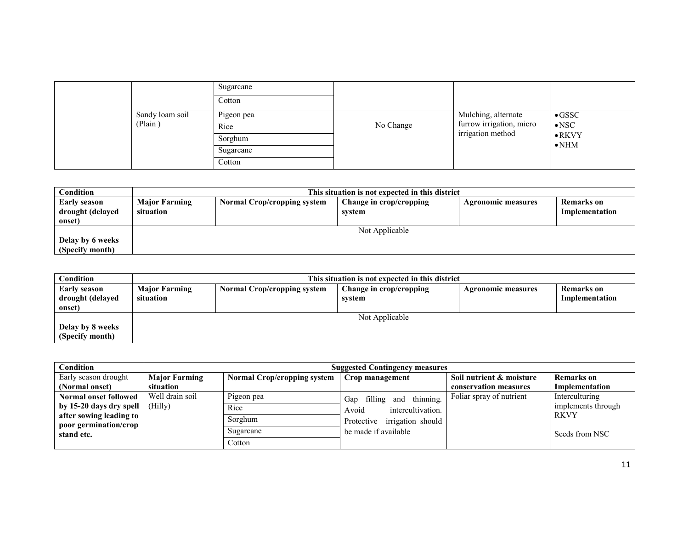|                 | Sugarcane<br>Cotton |           |                                               |                                 |
|-----------------|---------------------|-----------|-----------------------------------------------|---------------------------------|
| Sandy loam soil | Pigeon pea          |           | Mulching, alternate                           | $\bullet$ GSSC                  |
| (Plain)         | Rice                | No Change | furrow irrigation, micro<br>irrigation method | $\bullet$ NSC                   |
|                 | Sorghum             |           |                                               | $\bullet$ RKVY<br>$\bullet$ NHM |
|                 | Sugarcane           |           |                                               |                                 |
|                 | Cotton              |           |                                               |                                 |

| Condition           | This situation is not expected in this district |                             |                         |                           |                |  |  |
|---------------------|-------------------------------------------------|-----------------------------|-------------------------|---------------------------|----------------|--|--|
| <b>Early season</b> | <b>Major Farming</b>                            | Normal Crop/cropping system | Change in crop/cropping | <b>Agronomic measures</b> | Remarks on     |  |  |
| drought (delayed    | situation                                       |                             | system                  |                           | Implementation |  |  |
| onset)              |                                                 |                             |                         |                           |                |  |  |
|                     | Not Applicable                                  |                             |                         |                           |                |  |  |
| Delay by 6 weeks    |                                                 |                             |                         |                           |                |  |  |
| (Specify month)     |                                                 |                             |                         |                           |                |  |  |

| Condition        | This situation is not expected in this district |                                    |                         |                           |                |  |  |
|------------------|-------------------------------------------------|------------------------------------|-------------------------|---------------------------|----------------|--|--|
| Early season     | <b>Major Farming</b>                            | <b>Normal Crop/cropping system</b> | Change in crop/cropping | <b>Agronomic measures</b> | Remarks on     |  |  |
| drought (delayed | situation                                       |                                    | system                  |                           | Implementation |  |  |
| onset)           |                                                 |                                    |                         |                           |                |  |  |
|                  | Not Applicable                                  |                                    |                         |                           |                |  |  |
| Delay by 8 weeks |                                                 |                                    |                         |                           |                |  |  |
| (Specify month)  |                                                 |                                    |                         |                           |                |  |  |

| Condition                                        | <b>Suggested Contingency measures</b> |                                    |                                 |                          |                    |  |  |  |
|--------------------------------------------------|---------------------------------------|------------------------------------|---------------------------------|--------------------------|--------------------|--|--|--|
| Early season drought                             | <b>Major Farming</b>                  | <b>Normal Crop/cropping system</b> | Crop management                 | Soil nutrient & moisture | <b>Remarks</b> on  |  |  |  |
| (Normal onset)                                   | situation                             |                                    |                                 | conservation measures    | Implementation     |  |  |  |
| <b>Normal onset followed</b>                     | Well drain soil                       | Pigeon pea                         | filling and thinning.<br>Gap    | Foliar spray of nutrient | Interculturing     |  |  |  |
| by 15-20 days dry spell                          | (Hilly)                               | Rice                               | intercultivation.<br>Avoid      |                          | implements through |  |  |  |
| after sowing leading to<br>poor germination/crop |                                       | Sorghum                            | irrigation should<br>Protective |                          | <b>RKVY</b>        |  |  |  |
| stand etc.                                       |                                       | Sugarcane                          | be made if available            |                          | Seeds from NSC     |  |  |  |
|                                                  |                                       | Cotton                             |                                 |                          |                    |  |  |  |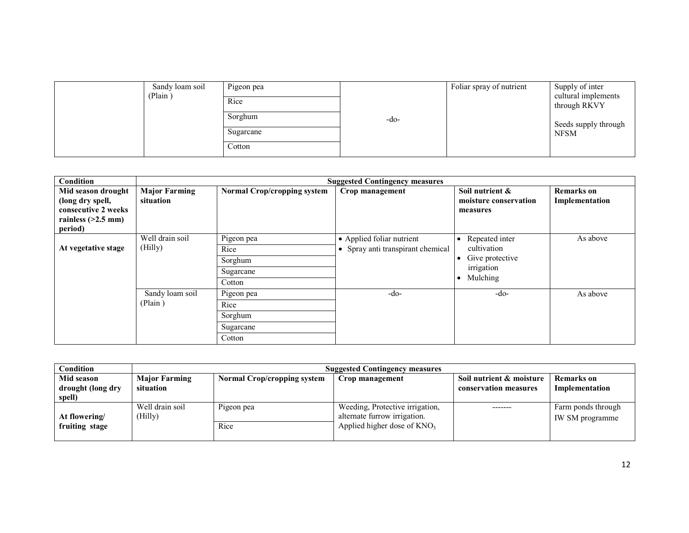| Sandy loam soil<br>(Plain) | Pigeon pea<br>Rice<br>Sorghum<br>Sugarcane<br>Cotton | -do- | Foliar spray of nutrient | Supply of inter<br>cultural implements<br>through RKVY<br>Seeds supply through<br><b>NFSM</b> |
|----------------------------|------------------------------------------------------|------|--------------------------|-----------------------------------------------------------------------------------------------|
|----------------------------|------------------------------------------------------|------|--------------------------|-----------------------------------------------------------------------------------------------|

| <b>Condition</b>                                                                                 |                                   |                                                      | <b>Suggested Contingency measures</b>                          |                                                                            |                                     |
|--------------------------------------------------------------------------------------------------|-----------------------------------|------------------------------------------------------|----------------------------------------------------------------|----------------------------------------------------------------------------|-------------------------------------|
| Mid season drought<br>(long dry spell,<br>consecutive 2 weeks<br>rainless $(>2.5$ mm)<br>period) | <b>Major Farming</b><br>situation | <b>Normal Crop/cropping system</b>                   | Crop management                                                | Soil nutrient &<br>moisture conservation<br>measures                       | <b>Remarks</b> on<br>Implementation |
| At vegetative stage                                                                              | Well drain soil<br>(Hilly)        | Pigeon pea<br>Rice<br>Sorghum<br>Sugarcane<br>Cotton | • Applied foliar nutrient<br>• Spray anti transpirant chemical | Repeated inter<br>cultivation<br>Give protective<br>irrigation<br>Mulching | As above                            |
|                                                                                                  | Sandy loam soil<br>(Plain)        | Pigeon pea<br>Rice<br>Sorghum<br>Sugarcane<br>Cotton | -do-                                                           | $-do-$                                                                     | As above                            |

| Condition                                 | <b>Suggested Contingency measures</b> |                                    |                                                                                                   |                                                   |                                       |  |  |  |
|-------------------------------------------|---------------------------------------|------------------------------------|---------------------------------------------------------------------------------------------------|---------------------------------------------------|---------------------------------------|--|--|--|
| Mid season<br>drought (long dry<br>spell) | <b>Major Farming</b><br>situation     | <b>Normal Crop/cropping system</b> | Crop management                                                                                   | Soil nutrient & moisture<br>conservation measures | <b>Remarks</b> on<br>Implementation   |  |  |  |
| At flowering/<br>fruiting stage           | Well drain soil<br>(Hilly)            | Pigeon pea<br>Rice                 | Weeding, Protective irrigation,<br>alternate furrow irrigation.<br>Applied higher dose of $KNO_3$ |                                                   | Farm ponds through<br>IW SM programme |  |  |  |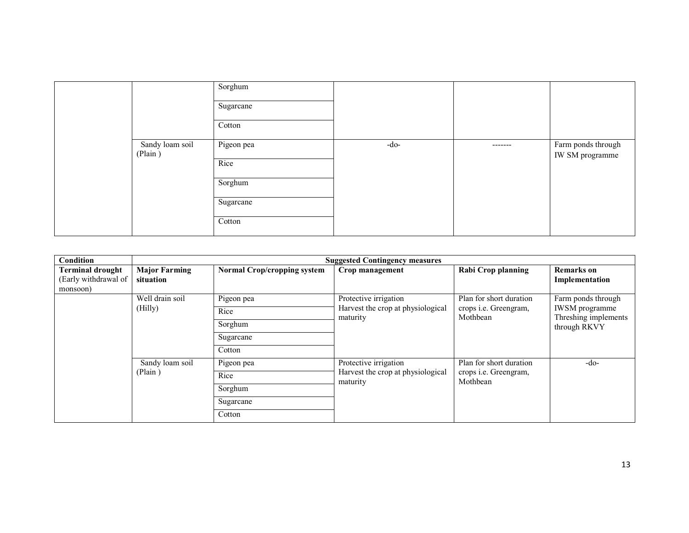|                            | Sorghum<br>Sugarcane<br>Cotton             |        |          |                                       |
|----------------------------|--------------------------------------------|--------|----------|---------------------------------------|
| Sandy loam soil<br>(Plain) | Pigeon pea<br>Rice<br>Sorghum<br>Sugarcane | $-do-$ | -------- | Farm ponds through<br>IW SM programme |
|                            | Cotton                                     |        |          |                                       |

| Condition                                                   |                                   | <b>Suggested Contingency measures</b> |                                                                        |                                          |                                                               |  |
|-------------------------------------------------------------|-----------------------------------|---------------------------------------|------------------------------------------------------------------------|------------------------------------------|---------------------------------------------------------------|--|
| <b>Terminal drought</b><br>(Early withdrawal of<br>monsoon) | <b>Major Farming</b><br>situation | <b>Normal Crop/cropping system</b>    | Crop management                                                        | Rabi Crop planning                       | <b>Remarks</b> on<br>Implementation                           |  |
|                                                             | Well drain soil                   | Pigeon pea                            | Protective irrigation                                                  | Plan for short duration                  | Farm ponds through                                            |  |
|                                                             | (Hilly)                           | Rice                                  | Harvest the crop at physiological<br>maturity                          | crops <i>i.e.</i> Greengram,<br>Mothbean | <b>IWSM</b> programme<br>Threshing implements<br>through RKVY |  |
|                                                             |                                   | Sorghum                               |                                                                        |                                          |                                                               |  |
|                                                             |                                   | Sugarcane                             |                                                                        |                                          |                                                               |  |
|                                                             |                                   | Cotton                                |                                                                        |                                          |                                                               |  |
|                                                             | Sandy loam soil<br>(Plain)        | Pigeon pea                            | Protective irrigation<br>Harvest the crop at physiological<br>maturity | Plan for short duration                  | $-do-$                                                        |  |
|                                                             |                                   | Rice                                  |                                                                        | crops i.e. Greengram,<br>Mothbean        |                                                               |  |
|                                                             |                                   | Sorghum                               |                                                                        |                                          |                                                               |  |
|                                                             |                                   | Sugarcane                             |                                                                        |                                          |                                                               |  |
|                                                             |                                   | Cotton                                |                                                                        |                                          |                                                               |  |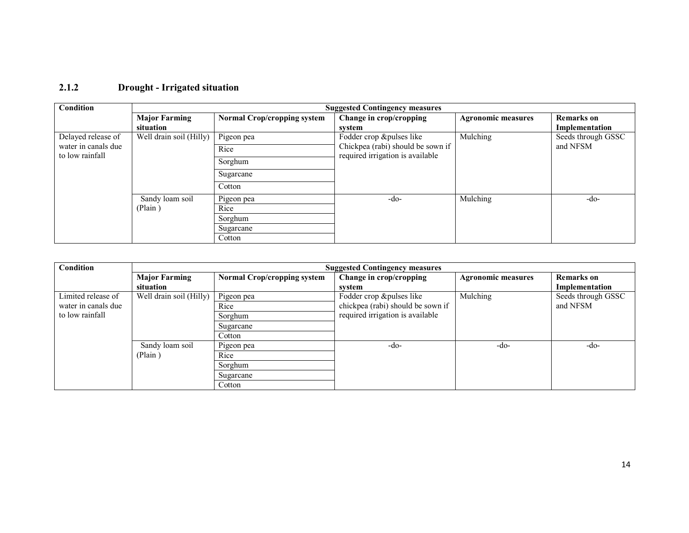## 2.1.2 Drought - Irrigated situation

| Condition                              | <b>Suggested Contingency measures</b> |                                    |                                                                       |                           |                    |  |
|----------------------------------------|---------------------------------------|------------------------------------|-----------------------------------------------------------------------|---------------------------|--------------------|--|
|                                        | <b>Major Farming</b>                  | <b>Normal Crop/cropping system</b> | Change in crop/cropping                                               | <b>Agronomic measures</b> | <b>Remarks</b> on  |  |
|                                        | situation                             |                                    | system                                                                |                           | Implementation     |  |
| Delayed release of                     | Well drain soil (Hilly)               | Pigeon pea                         | Fodder crop &pulses like                                              | Mulching                  | Seeds through GSSC |  |
| water in canals due<br>to low rainfall |                                       | Rice                               | Chickpea (rabi) should be sown if<br>required irrigation is available |                           | and NFSM           |  |
|                                        |                                       | Sorghum                            |                                                                       |                           |                    |  |
|                                        |                                       | Sugarcane                          |                                                                       |                           |                    |  |
|                                        |                                       | Cotton                             |                                                                       |                           |                    |  |
|                                        | Sandy loam soil                       | Pigeon pea                         | $-do-$                                                                | Mulching                  | -do-               |  |
|                                        | (Plain)                               | Rice                               |                                                                       |                           |                    |  |
|                                        |                                       | Sorghum                            |                                                                       |                           |                    |  |
|                                        |                                       | Sugarcane                          |                                                                       |                           |                    |  |
|                                        |                                       | Cotton                             |                                                                       |                           |                    |  |

| Condition           | <b>Suggested Contingency measures</b> |                                    |                                   |                           |                    |  |
|---------------------|---------------------------------------|------------------------------------|-----------------------------------|---------------------------|--------------------|--|
|                     | <b>Major Farming</b>                  | <b>Normal Crop/cropping system</b> | Change in crop/cropping           | <b>Agronomic measures</b> | Remarks on         |  |
|                     | situation                             |                                    | svstem                            |                           | Implementation     |  |
| Limited release of  | Well drain soil (Hilly)               | Pigeon pea                         | Fodder crop &pulses like          | Mulching                  | Seeds through GSSC |  |
| water in canals due |                                       | Rice                               | chickpea (rabi) should be sown if |                           | and NFSM           |  |
| to low rainfall     |                                       | Sorghum                            | required irrigation is available  |                           |                    |  |
|                     |                                       | Sugarcane                          |                                   |                           |                    |  |
|                     |                                       | Cotton                             |                                   |                           |                    |  |
|                     | Sandy loam soil                       | Pigeon pea                         | -do-                              | $-do-$                    | -do-               |  |
|                     | (Plain)                               | Rice                               |                                   |                           |                    |  |
|                     |                                       | Sorghum                            |                                   |                           |                    |  |
|                     |                                       | Sugarcane                          |                                   |                           |                    |  |
|                     |                                       | Cotton                             |                                   |                           |                    |  |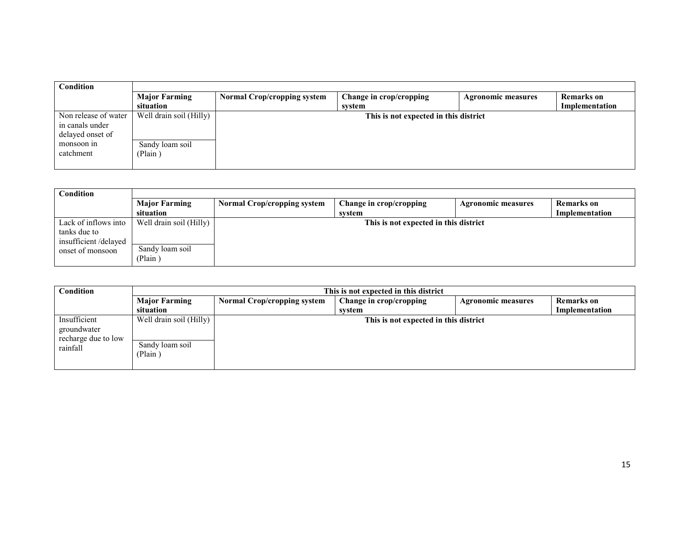| Condition            |                         |                                       |                         |                           |                |
|----------------------|-------------------------|---------------------------------------|-------------------------|---------------------------|----------------|
|                      | <b>Major Farming</b>    | <b>Normal Crop/cropping system</b>    | Change in crop/cropping | <b>Agronomic measures</b> | Remarks on     |
|                      | situation               |                                       | svstem                  |                           | Implementation |
| Non release of water | Well drain soil (Hilly) | This is not expected in this district |                         |                           |                |
| in canals under      |                         |                                       |                         |                           |                |
| delayed onset of     |                         |                                       |                         |                           |                |
| monsoon in           | Sandy loam soil         |                                       |                         |                           |                |
| catchment            | (Plain)                 |                                       |                         |                           |                |
|                      |                         |                                       |                         |                           |                |

| Condition            |                         |                                       |                         |                           |                |  |
|----------------------|-------------------------|---------------------------------------|-------------------------|---------------------------|----------------|--|
|                      | <b>Major Farming</b>    | <b>Normal Crop/cropping system</b>    | Change in crop/cropping | <b>Agronomic measures</b> | Remarks on     |  |
|                      | situation               |                                       | svstem                  |                           | Implementation |  |
| Lack of inflows into | Well drain soil (Hilly) | This is not expected in this district |                         |                           |                |  |
| tanks due to         |                         |                                       |                         |                           |                |  |
| insufficient/delayed |                         |                                       |                         |                           |                |  |
| onset of monsoon     | Sandy loam soil         |                                       |                         |                           |                |  |
|                      | (Plain)                 |                                       |                         |                           |                |  |

| Condition                                                      | This is not expected in this district                 |                                    |                                       |                           |                |
|----------------------------------------------------------------|-------------------------------------------------------|------------------------------------|---------------------------------------|---------------------------|----------------|
|                                                                | <b>Major Farming</b>                                  | <b>Normal Crop/cropping system</b> | Change in crop/cropping               | <b>Agronomic measures</b> | Remarks on     |
|                                                                | situation                                             |                                    | svstem                                |                           | Implementation |
| Insufficient<br>groundwater<br>recharge due to low<br>rainfall | Well drain soil (Hilly)<br>Sandy loam soil<br>(Plain) |                                    | This is not expected in this district |                           |                |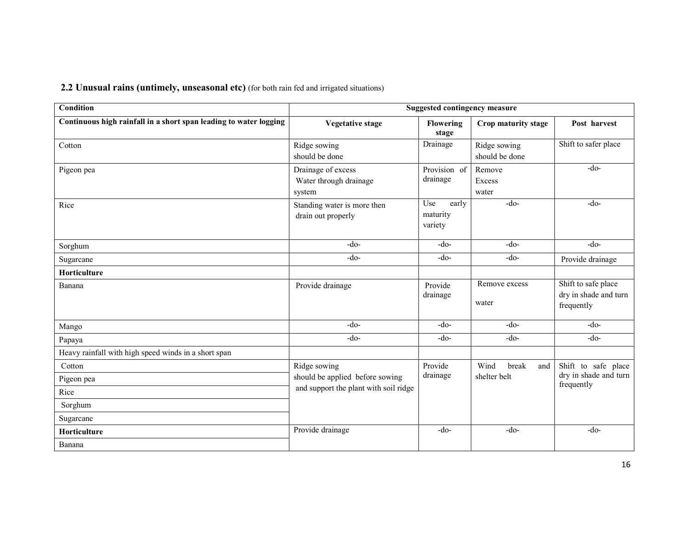2.2 Unusual rains (untimely, unseasonal etc) (for both rain fed and irrigated situations)

| <b>Condition</b>                                                  | <b>Suggested contingency measure</b>                   |                                     |                                |                                                            |  |
|-------------------------------------------------------------------|--------------------------------------------------------|-------------------------------------|--------------------------------|------------------------------------------------------------|--|
| Continuous high rainfall in a short span leading to water logging | <b>Vegetative stage</b>                                | <b>Flowering</b><br>stage           | Crop maturity stage            | Post harvest                                               |  |
| Cotton                                                            | Ridge sowing<br>should be done                         | Drainage                            | Ridge sowing<br>should be done | Shift to safer place                                       |  |
| Pigeon pea                                                        | Drainage of excess<br>Water through drainage<br>system | Provision of<br>drainage            | Remove<br>Excess<br>water      | $-do-$                                                     |  |
| Rice                                                              | Standing water is more then<br>drain out properly      | Use<br>early<br>maturity<br>variety | $-do-$                         | $-do-$                                                     |  |
| Sorghum                                                           | $-do-$                                                 | $-do-$                              | $-do-$                         | $-do-$                                                     |  |
| Sugarcane                                                         | $-do-$                                                 | $-do-$                              | $-do-$                         | Provide drainage                                           |  |
| Horticulture                                                      |                                                        |                                     |                                |                                                            |  |
| Banana                                                            | Provide drainage                                       | Provide<br>drainage                 | Remove excess<br>water         | Shift to safe place<br>dry in shade and turn<br>frequently |  |
| Mango                                                             | $-do-$                                                 | $-do-$                              | $-do-$                         | $-do-$                                                     |  |
| Papaya                                                            | $-do-$                                                 | $-do-$                              | $-do-$                         | $-do-$                                                     |  |
| Heavy rainfall with high speed winds in a short span              |                                                        |                                     |                                |                                                            |  |
| Cotton                                                            | Ridge sowing                                           | Provide                             | Wind<br>break<br>and           | Shift to safe place                                        |  |
| Pigeon pea                                                        | should be applied before sowing                        | drainage                            | shelter belt                   | dry in shade and turn<br>frequently                        |  |
| Rice                                                              | and support the plant with soil ridge                  |                                     |                                |                                                            |  |
| Sorghum                                                           |                                                        |                                     |                                |                                                            |  |
| Sugarcane                                                         |                                                        |                                     |                                |                                                            |  |
| Horticulture                                                      | Provide drainage                                       | $-do-$                              | $-do-$                         | $-do-$                                                     |  |
| Banana                                                            |                                                        |                                     |                                |                                                            |  |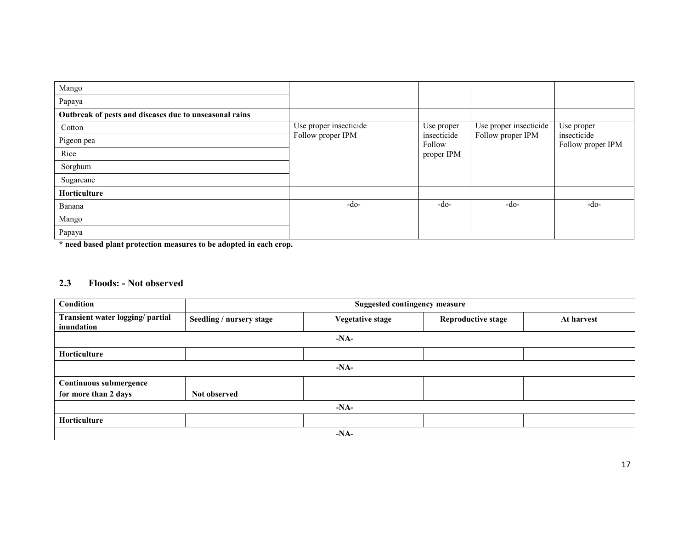| Mango                                                  |                        |                       |                        |                                  |
|--------------------------------------------------------|------------------------|-----------------------|------------------------|----------------------------------|
| Papaya                                                 |                        |                       |                        |                                  |
| Outbreak of pests and diseases due to unseasonal rains |                        |                       |                        |                                  |
| Cotton                                                 | Use proper insecticide | Use proper            | Use proper insecticide | Use proper                       |
| Pigeon pea                                             | Follow proper IPM      | insecticide<br>Follow | Follow proper IPM      | insecticide<br>Follow proper IPM |
| Rice                                                   |                        | proper IPM            |                        |                                  |
| Sorghum                                                |                        |                       |                        |                                  |
| Sugarcane                                              |                        |                       |                        |                                  |
| <b>Horticulture</b>                                    |                        |                       |                        |                                  |
| Banana                                                 | $-do-$                 | $-do-$                | -do-                   | $-do-$                           |
| Mango                                                  |                        |                       |                        |                                  |
| Papaya                                                 |                        |                       |                        |                                  |

\* need based plant protection measures to be adopted in each crop.

#### 2.3 Floods: - Not observed

| Condition                                      | <b>Suggested contingency measure</b> |                         |                           |            |  |  |
|------------------------------------------------|--------------------------------------|-------------------------|---------------------------|------------|--|--|
| Transient water logging/ partial<br>inundation | Seedling / nursery stage             | <b>Vegetative stage</b> | <b>Reproductive stage</b> | At harvest |  |  |
|                                                |                                      | $-NA-$                  |                           |            |  |  |
| Horticulture                                   |                                      |                         |                           |            |  |  |
|                                                |                                      | $-NA-$                  |                           |            |  |  |
| <b>Continuous submergence</b>                  |                                      |                         |                           |            |  |  |
| for more than 2 days                           | Not observed                         |                         |                           |            |  |  |
| $-NA-$                                         |                                      |                         |                           |            |  |  |
| Horticulture                                   |                                      |                         |                           |            |  |  |
|                                                |                                      | $-NA-$                  |                           |            |  |  |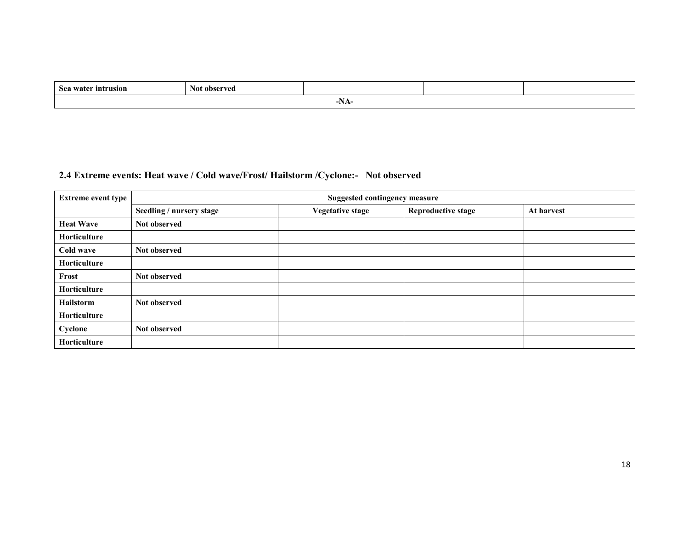| intrusion<br><b>Sez</b>                       | ahearwad<br>N01<br>v cu |  |  |  |  |  |
|-----------------------------------------------|-------------------------|--|--|--|--|--|
| -111 F<br>the contract of the contract of the |                         |  |  |  |  |  |

# 2.4 Extreme events: Heat wave / Cold wave/Frost/ Hailstorm /Cyclone:- Not observed

| <b>Extreme event type</b> | <b>Suggested contingency measure</b> |                         |                           |            |  |  |  |
|---------------------------|--------------------------------------|-------------------------|---------------------------|------------|--|--|--|
|                           | Seedling / nursery stage             | <b>Vegetative stage</b> | <b>Reproductive stage</b> | At harvest |  |  |  |
| <b>Heat Wave</b>          | Not observed                         |                         |                           |            |  |  |  |
| <b>Horticulture</b>       |                                      |                         |                           |            |  |  |  |
| Cold wave                 | Not observed                         |                         |                           |            |  |  |  |
| Horticulture              |                                      |                         |                           |            |  |  |  |
| Frost                     | Not observed                         |                         |                           |            |  |  |  |
| <b>Horticulture</b>       |                                      |                         |                           |            |  |  |  |
| <b>Hailstorm</b>          | Not observed                         |                         |                           |            |  |  |  |
| Horticulture              |                                      |                         |                           |            |  |  |  |
| Cyclone                   | Not observed                         |                         |                           |            |  |  |  |
| Horticulture              |                                      |                         |                           |            |  |  |  |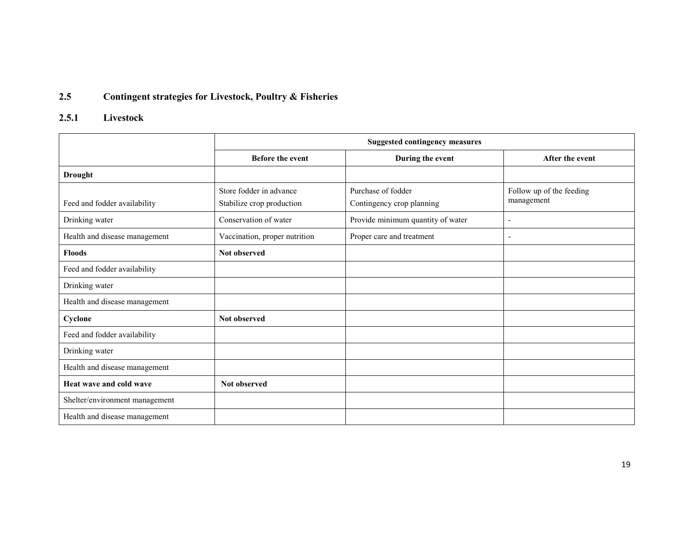#### 2.5Contingent strategies for Livestock, Poultry & Fisheries

## 2.5.1 Livestock

|                                | <b>Suggested contingency measures</b>                |                                                 |                                        |  |
|--------------------------------|------------------------------------------------------|-------------------------------------------------|----------------------------------------|--|
|                                | <b>Before the event</b>                              | During the event                                | After the event                        |  |
| <b>Drought</b>                 |                                                      |                                                 |                                        |  |
| Feed and fodder availability   | Store fodder in advance<br>Stabilize crop production | Purchase of fodder<br>Contingency crop planning | Follow up of the feeding<br>management |  |
| Drinking water                 | Conservation of water                                | Provide minimum quantity of water               | $\overline{\phantom{a}}$               |  |
| Health and disease management  | Vaccination, proper nutrition                        | Proper care and treatment                       | $\overline{\phantom{a}}$               |  |
| <b>Floods</b>                  | Not observed                                         |                                                 |                                        |  |
| Feed and fodder availability   |                                                      |                                                 |                                        |  |
| Drinking water                 |                                                      |                                                 |                                        |  |
| Health and disease management  |                                                      |                                                 |                                        |  |
| Cyclone                        | Not observed                                         |                                                 |                                        |  |
| Feed and fodder availability   |                                                      |                                                 |                                        |  |
| Drinking water                 |                                                      |                                                 |                                        |  |
| Health and disease management  |                                                      |                                                 |                                        |  |
| Heat wave and cold wave        | Not observed                                         |                                                 |                                        |  |
| Shelter/environment management |                                                      |                                                 |                                        |  |
| Health and disease management  |                                                      |                                                 |                                        |  |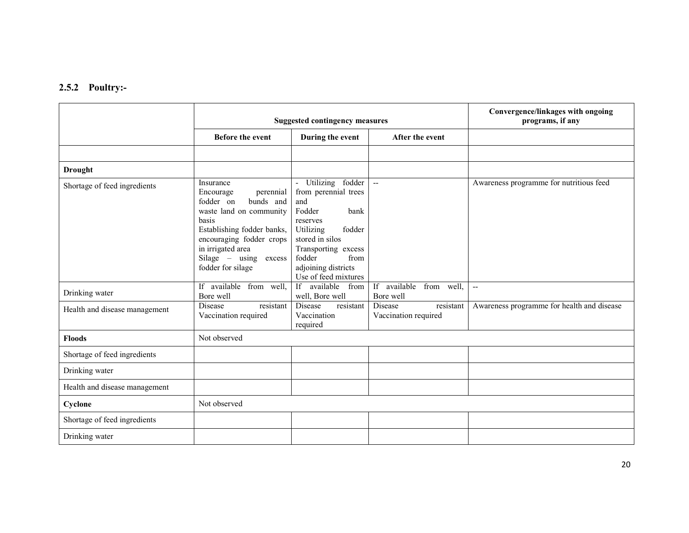#### 2.5.2 Poultry:-

|                               | <b>Suggested contingency measures</b>                                                                                                                                                                                               |                                                                                                                                                                                                                   |                                                     | Convergence/linkages with ongoing<br>programs, if any |  |
|-------------------------------|-------------------------------------------------------------------------------------------------------------------------------------------------------------------------------------------------------------------------------------|-------------------------------------------------------------------------------------------------------------------------------------------------------------------------------------------------------------------|-----------------------------------------------------|-------------------------------------------------------|--|
|                               | <b>Before the event</b>                                                                                                                                                                                                             | During the event                                                                                                                                                                                                  | After the event                                     |                                                       |  |
|                               |                                                                                                                                                                                                                                     |                                                                                                                                                                                                                   |                                                     |                                                       |  |
| <b>Drought</b>                |                                                                                                                                                                                                                                     |                                                                                                                                                                                                                   |                                                     |                                                       |  |
| Shortage of feed ingredients  | Insurance<br>perennial<br>Encourage<br>fodder on<br>bunds and<br>waste land on community<br>basis<br>Establishing fodder banks,<br>encouraging fodder crops<br>in irrigated area<br>$Silage - using$<br>excess<br>fodder for silage | - Utilizing fodder<br>from perennial trees<br>and<br>Fodder<br>bank<br>reserves<br>Utilizing<br>fodder<br>stored in silos<br>Transporting excess<br>fodder<br>from<br>adjoining districts<br>Use of feed mixtures | $\mathbf{L}$                                        | Awareness programme for nutritious feed               |  |
| Drinking water                | If available from well,<br>Bore well                                                                                                                                                                                                | If available from<br>well, Bore well                                                                                                                                                                              | available<br>If<br>from well,<br>Bore well          | $\overline{a}$                                        |  |
| Health and disease management | <b>Disease</b><br>resistant<br>Vaccination required                                                                                                                                                                                 | Disease<br>resistant<br>Vaccination<br>required                                                                                                                                                                   | <b>Disease</b><br>resistant<br>Vaccination required | Awareness programme for health and disease            |  |
| <b>Floods</b>                 | Not observed                                                                                                                                                                                                                        |                                                                                                                                                                                                                   |                                                     |                                                       |  |
| Shortage of feed ingredients  |                                                                                                                                                                                                                                     |                                                                                                                                                                                                                   |                                                     |                                                       |  |
| Drinking water                |                                                                                                                                                                                                                                     |                                                                                                                                                                                                                   |                                                     |                                                       |  |
| Health and disease management |                                                                                                                                                                                                                                     |                                                                                                                                                                                                                   |                                                     |                                                       |  |
| Cyclone                       | Not observed                                                                                                                                                                                                                        |                                                                                                                                                                                                                   |                                                     |                                                       |  |
| Shortage of feed ingredients  |                                                                                                                                                                                                                                     |                                                                                                                                                                                                                   |                                                     |                                                       |  |
| Drinking water                |                                                                                                                                                                                                                                     |                                                                                                                                                                                                                   |                                                     |                                                       |  |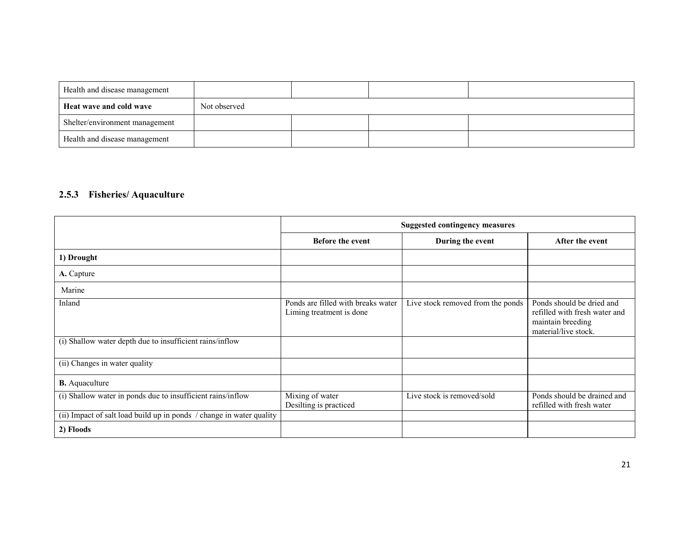| Health and disease management  |              |  |  |
|--------------------------------|--------------|--|--|
| Heat wave and cold wave        | Not observed |  |  |
| Shelter/environment management |              |  |  |
| Health and disease management  |              |  |  |

#### 2.5.3 Fisheries/ Aquaculture

|                                                                      | <b>Suggested contingency measures</b>                          |                                   |                                                                                                         |  |
|----------------------------------------------------------------------|----------------------------------------------------------------|-----------------------------------|---------------------------------------------------------------------------------------------------------|--|
|                                                                      | <b>Before the event</b>                                        | During the event                  | After the event                                                                                         |  |
| 1) Drought                                                           |                                                                |                                   |                                                                                                         |  |
| A. Capture                                                           |                                                                |                                   |                                                                                                         |  |
| Marine                                                               |                                                                |                                   |                                                                                                         |  |
| Inland                                                               | Ponds are filled with breaks water<br>Liming treatment is done | Live stock removed from the ponds | Ponds should be dried and<br>refilled with fresh water and<br>maintain breeding<br>material/live stock. |  |
| (i) Shallow water depth due to insufficient rains/inflow             |                                                                |                                   |                                                                                                         |  |
| (ii) Changes in water quality                                        |                                                                |                                   |                                                                                                         |  |
| <b>B.</b> Aquaculture                                                |                                                                |                                   |                                                                                                         |  |
| (i) Shallow water in ponds due to insufficient rains/inflow          | Mixing of water<br>Desilting is practiced                      | Live stock is removed/sold        | Ponds should be drained and<br>refilled with fresh water                                                |  |
| (ii) Impact of salt load build up in ponds / change in water quality |                                                                |                                   |                                                                                                         |  |
| 2) Floods                                                            |                                                                |                                   |                                                                                                         |  |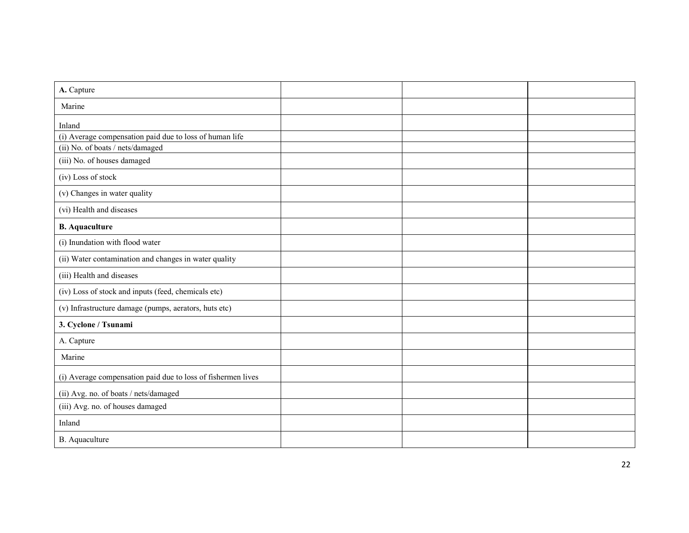| A. Capture                                                   |  |  |
|--------------------------------------------------------------|--|--|
| Marine                                                       |  |  |
| Inland                                                       |  |  |
| (i) Average compensation paid due to loss of human life      |  |  |
| (ii) No. of boats / nets/damaged                             |  |  |
| (iii) No. of houses damaged                                  |  |  |
| (iv) Loss of stock                                           |  |  |
| (v) Changes in water quality                                 |  |  |
| (vi) Health and diseases                                     |  |  |
| <b>B.</b> Aquaculture                                        |  |  |
| (i) Inundation with flood water                              |  |  |
| (ii) Water contamination and changes in water quality        |  |  |
| (iii) Health and diseases                                    |  |  |
| (iv) Loss of stock and inputs (feed, chemicals etc)          |  |  |
| (v) Infrastructure damage (pumps, aerators, huts etc)        |  |  |
| 3. Cyclone / Tsunami                                         |  |  |
| A. Capture                                                   |  |  |
| Marine                                                       |  |  |
| (i) Average compensation paid due to loss of fishermen lives |  |  |
| (ii) Avg. no. of boats / nets/damaged                        |  |  |
| (iii) Avg. no. of houses damaged                             |  |  |
| Inland                                                       |  |  |
| B. Aquaculture                                               |  |  |